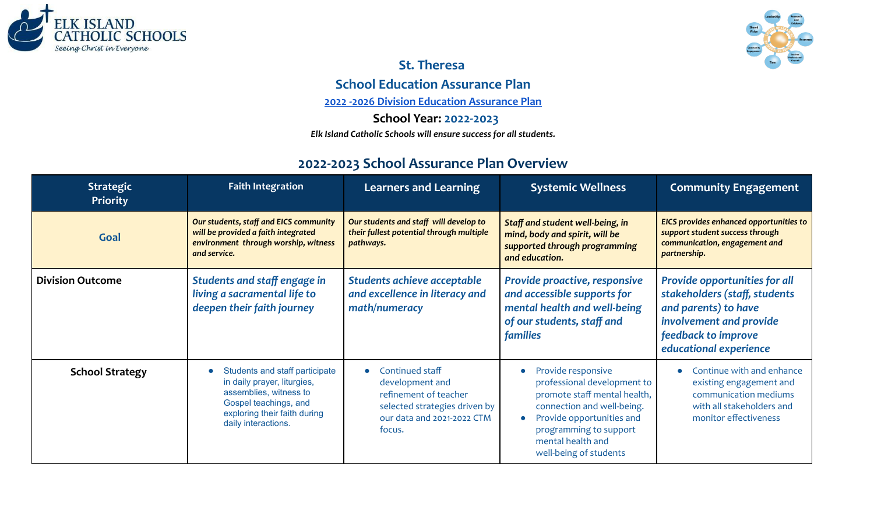



# **St. Theresa School Education Assurance Plan**

**2022 -2026 Division Education [Assurance](https://docs.google.com/spreadsheets/d/11pgLBCGjrgKgvFpBeRiUcGW-VjZavmwqHdEIHkg729A/edit?usp=sharing) Plan**

### **School Year: 2022-2023**

*Elk Island Catholic Schools will ensure success for all students.*

## **2022-2023 School Assurance Plan Overview**

| <b>Strategic</b><br>Priority | <b>Faith Integration</b>                                                                                                                                                | <b>Learners and Learning</b>                                                                                                                      | <b>Systemic Wellness</b>                                                                                                                                                                                              | <b>Community Engagement</b>                                                                                                                                        |
|------------------------------|-------------------------------------------------------------------------------------------------------------------------------------------------------------------------|---------------------------------------------------------------------------------------------------------------------------------------------------|-----------------------------------------------------------------------------------------------------------------------------------------------------------------------------------------------------------------------|--------------------------------------------------------------------------------------------------------------------------------------------------------------------|
| Goal                         | Our students, staff and EICS community<br>will be provided a faith integrated<br>environment through worship, witness<br>and service.                                   | Our students and staff will develop to<br>their fullest potential through multiple<br>pathways.                                                   | Staff and student well-being, in<br>mind, body and spirit, will be<br>supported through programming<br>and education.                                                                                                 | EICS provides enhanced opportunities to<br>support student success through<br>communication, engagement and<br>partnership.                                        |
| <b>Division Outcome</b>      | Students and staff engage in<br>living a sacramental life to<br>deepen their faith journey                                                                              | Students achieve acceptable<br>and excellence in literacy and<br>math/numeracy                                                                    | Provide proactive, responsive<br>and accessible supports for<br>mental health and well-being<br>of our students, staff and<br>families                                                                                | Provide opportunities for all<br>stakeholders (staff, students<br>and parents) to have<br>involvement and provide<br>feedback to improve<br>educational experience |
| <b>School Strategy</b>       | Students and staff participate<br>in daily prayer, liturgies,<br>assemblies, witness to<br>Gospel teachings, and<br>exploring their faith during<br>daily interactions. | Continued staff<br>$\bullet$<br>development and<br>refinement of teacher<br>selected strategies driven by<br>our data and 2021-2022 CTM<br>focus. | Provide responsive<br>professional development to<br>promote staff mental health,<br>connection and well-being.<br>Provide opportunities and<br>programming to support<br>mental health and<br>well-being of students | Continue with and enhance<br>existing engagement and<br>communication mediums<br>with all stakeholders and<br>monitor effectiveness                                |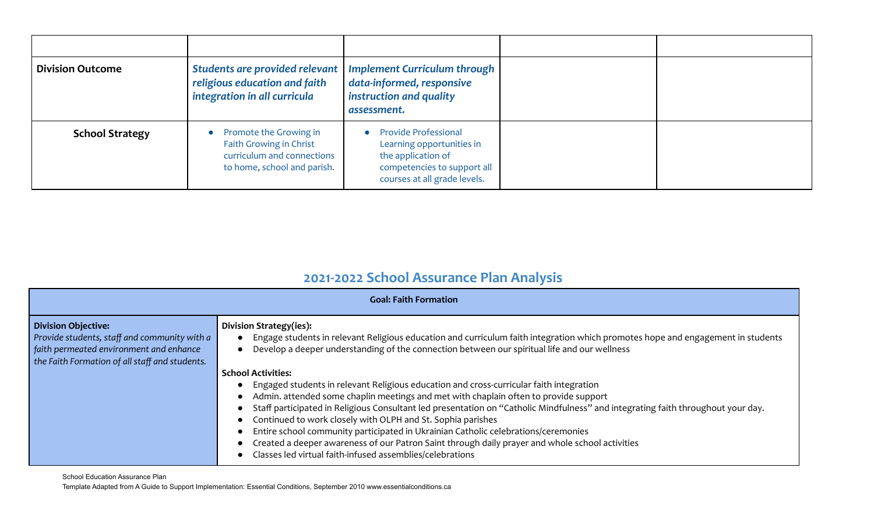| <b>Division Outcome</b> | Students are provided relevant<br>religious education and faith<br>integration in all curricula                | <b>Implement Curriculum through</b><br>data-informed, responsive<br>instruction and quality<br>assessment.                                    |  |
|-------------------------|----------------------------------------------------------------------------------------------------------------|-----------------------------------------------------------------------------------------------------------------------------------------------|--|
| <b>School Strategy</b>  | Promote the Growing in<br>Faith Growing in Christ<br>curriculum and connections<br>to home, school and parish. | <b>Provide Professional</b><br>Learning opportunities in<br>the application of<br>competencies to support all<br>courses at all grade levels. |  |

## **2021-2022 School Assurance Plan Analysis**

| <b>Goal: Faith Formation</b>                                                                                                                                            |                                                                                                                                                                                                                                                                                                                                                                                                                                                                                                                                                                                                                                          |  |
|-------------------------------------------------------------------------------------------------------------------------------------------------------------------------|------------------------------------------------------------------------------------------------------------------------------------------------------------------------------------------------------------------------------------------------------------------------------------------------------------------------------------------------------------------------------------------------------------------------------------------------------------------------------------------------------------------------------------------------------------------------------------------------------------------------------------------|--|
| <b>Division Objective:</b><br>Provide students, staff and community with a<br>faith permeated environment and enhance<br>the Faith Formation of all staff and students. | Division Strategy(ies):<br>Engage students in relevant Religious education and curriculum faith integration which promotes hope and engagement in students<br>Develop a deeper understanding of the connection between our spiritual life and our wellness<br><b>School Activities:</b>                                                                                                                                                                                                                                                                                                                                                  |  |
|                                                                                                                                                                         | Engaged students in relevant Religious education and cross-curricular faith integration<br>Admin. attended some chaplin meetings and met with chaplain often to provide support<br>Staff participated in Religious Consultant led presentation on "Catholic Mindfulness" and integrating faith throughout your day.<br>Continued to work closely with OLPH and St. Sophia parishes<br>Entire school community participated in Ukrainian Catholic celebrations/ceremonies<br>Created a deeper awareness of our Patron Saint through daily prayer and whole school activities<br>Classes led virtual faith-infused assemblies/celebrations |  |

School Education Assurance Plan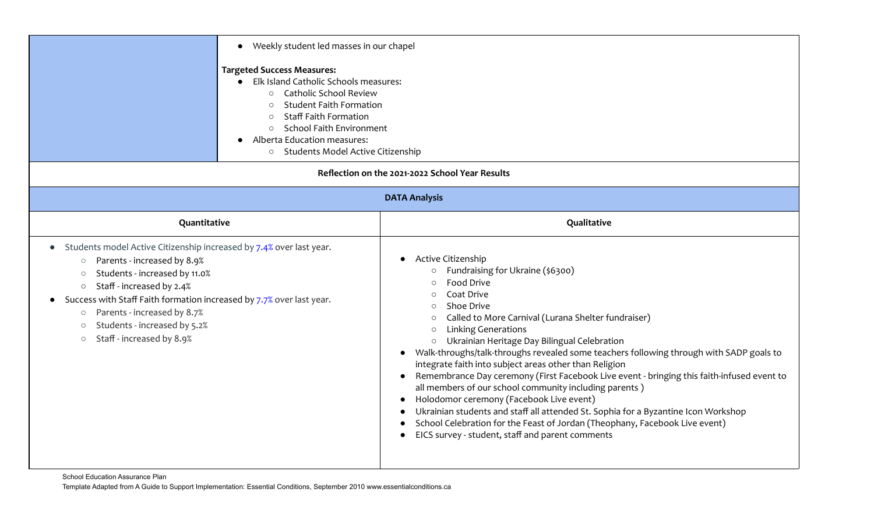| • Weekly student led masses in our chapel<br><b>Targeted Success Measures:</b><br>Elk Island Catholic Schools measures:<br><b>Catholic School Review</b><br>$\circ$<br><b>Student Faith Formation</b><br>$\circ$<br><b>Staff Faith Formation</b><br>$\circ$<br>School Faith Environment<br>$\circ$<br>Alberta Education measures:<br>Students Model Active Citizenship<br>$\circ$                                                                  |                                                                                                                                                                                                                                                                                                                                                                                                                                                                                                                                                                                                                                                                                                                                                                                                                                                                                                           |  |
|----------------------------------------------------------------------------------------------------------------------------------------------------------------------------------------------------------------------------------------------------------------------------------------------------------------------------------------------------------------------------------------------------------------------------------------------------|-----------------------------------------------------------------------------------------------------------------------------------------------------------------------------------------------------------------------------------------------------------------------------------------------------------------------------------------------------------------------------------------------------------------------------------------------------------------------------------------------------------------------------------------------------------------------------------------------------------------------------------------------------------------------------------------------------------------------------------------------------------------------------------------------------------------------------------------------------------------------------------------------------------|--|
|                                                                                                                                                                                                                                                                                                                                                                                                                                                    | Reflection on the 2021-2022 School Year Results                                                                                                                                                                                                                                                                                                                                                                                                                                                                                                                                                                                                                                                                                                                                                                                                                                                           |  |
| <b>DATA Analysis</b>                                                                                                                                                                                                                                                                                                                                                                                                                               |                                                                                                                                                                                                                                                                                                                                                                                                                                                                                                                                                                                                                                                                                                                                                                                                                                                                                                           |  |
| Quantitative                                                                                                                                                                                                                                                                                                                                                                                                                                       | Qualitative                                                                                                                                                                                                                                                                                                                                                                                                                                                                                                                                                                                                                                                                                                                                                                                                                                                                                               |  |
| Students model Active Citizenship increased by 7.4% over last year.<br>$\bullet$<br>Parents - increased by 8.9%<br>$\circ$<br>Students - increased by 11.0%<br>$\circ$<br>Staff - increased by 2.4%<br>$\circ$<br>Success with Staff Faith formation increased by 7.7% over last year.<br>$\bullet$<br>Parents - increased by 8.7%<br>$\circlearrowright$<br>Students - increased by 5.2%<br>$\bigcirc$<br>Staff - increased by 8.9%<br>$\bigcirc$ | Active Citizenship<br>Fundraising for Ukraine (\$6300)<br><b>Food Drive</b><br>$\bigcirc$<br>Coat Drive<br>$\bigcirc$<br>Shoe Drive<br>$\bigcirc$<br>Called to More Carnival (Lurana Shelter fundraiser)<br>$\circ$<br><b>Linking Generations</b><br>$\circ$<br>Ukrainian Heritage Day Bilingual Celebration<br>$\circ$<br>Walk-throughs/talk-throughs revealed some teachers following through with SADP goals to<br>integrate faith into subject areas other than Religion<br>Remembrance Day ceremony (First Facebook Live event - bringing this faith-infused event to<br>all members of our school community including parents)<br>Holodomor ceremony (Facebook Live event)<br>Ukrainian students and staff all attended St. Sophia for a Byzantine Icon Workshop<br>School Celebration for the Feast of Jordan (Theophany, Facebook Live event)<br>EICS survey - student, staff and parent comments |  |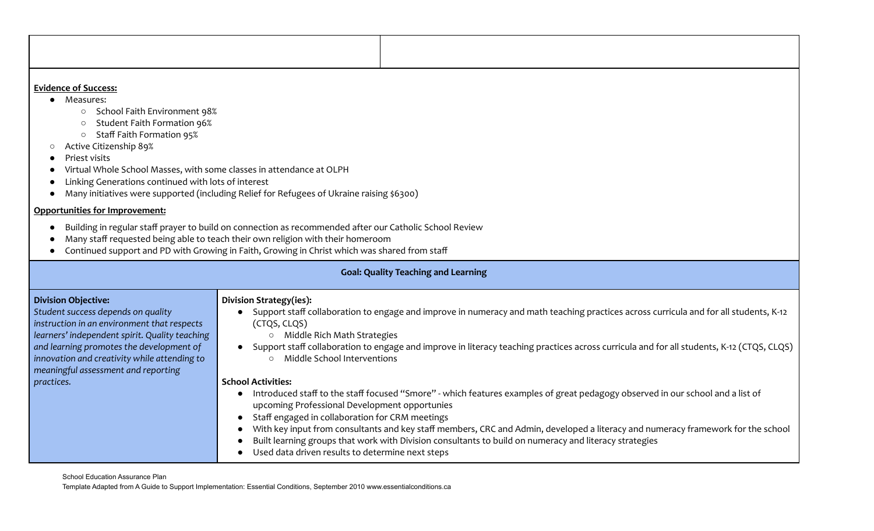#### **Evidence of Success:**

- Measures:
	- School Faith Environment 98%
	- Student Faith Formation 96%
	- Staff Faith Formation 95%
- Active Citizenship 89%
- Priest visits
- Virtual Whole School Masses, with some classes in attendance at OLPH
- Linking Generations continued with lots of interest
- Many initiatives were supported (including Relief for Refugees of Ukraine raising \$6300)

#### **Opportunities for Improvement:**

- Building in regular staff prayer to build on connection as recommended after our Catholic School Review
- Many staff requested being able to teach their own religion with their homeroom
- Continued support and PD with Growing in Faith, Growing in Christ which was shared from staff

|                                                                                                                                                                                                                                                                                                      | <b>Goal: Quality Teaching and Learning</b>                                                                                                                                                                                                                                                                                                                                                                                                                                                                                                                        |
|------------------------------------------------------------------------------------------------------------------------------------------------------------------------------------------------------------------------------------------------------------------------------------------------------|-------------------------------------------------------------------------------------------------------------------------------------------------------------------------------------------------------------------------------------------------------------------------------------------------------------------------------------------------------------------------------------------------------------------------------------------------------------------------------------------------------------------------------------------------------------------|
| <b>Division Objective:</b><br>Student success depends on quality<br>instruction in an environment that respects<br>learners' independent spirit. Quality teaching<br>and learning promotes the development of<br>innovation and creativity while attending to<br>meaningful assessment and reporting | Division Strategy(ies):<br>Support staff collaboration to engage and improve in numeracy and math teaching practices across curricula and for all students, K-12<br>(CTQS, CLQS)<br>Middle Rich Math Strategies<br>$\circ$<br>Support staff collaboration to engage and improve in literacy teaching practices across curricula and for all students, K-12 (CTQS, CLQS)<br>Middle School Interventions<br>$\cap$                                                                                                                                                  |
| practices.                                                                                                                                                                                                                                                                                           | <b>School Activities:</b><br>Introduced staff to the staff focused "Smore" - which features examples of great pedagogy observed in our school and a list of<br>upcoming Professional Development opportunies<br>Staff engaged in collaboration for CRM meetings<br>With key input from consultants and key staff members, CRC and Admin, developed a literacy and numeracy framework for the school<br>Built learning groups that work with Division consultants to build on numeracy and literacy strategies<br>Used data driven results to determine next steps |

School Education Assurance Plan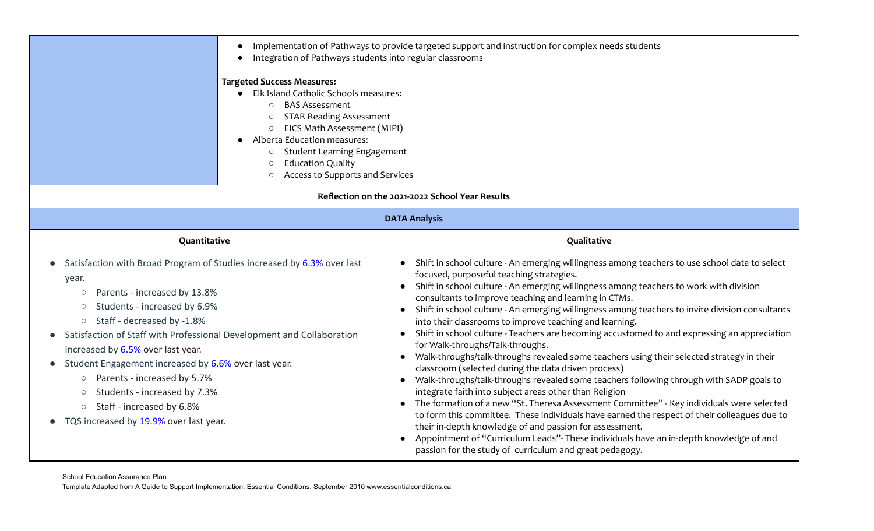|                                                                                                                                                                                                                                                                                                                                                                                                                                                                                                                                                                                                                | $\bullet$<br>Integration of Pathways students into regular classrooms<br><b>Targeted Success Measures:</b><br>Elk Island Catholic Schools measures:<br><b>BAS Assessment</b><br>$\circ$<br><b>STAR Reading Assessment</b><br>$\circ$<br>EICS Math Assessment (MIPI)<br>$\circlearrowright$<br>Alberta Education measures:<br><b>Student Learning Engagement</b><br>$\circ$<br><b>Education Quality</b><br>$\circ$<br>Access to Supports and Services<br>$\circlearrowright$ | Implementation of Pathways to provide targeted support and instruction for complex needs students                                                                                                                                                                                                                                                                                                                                                                                                                                                                                                                                                                                                                                                                                                                                                                                                                                                                                                                                                                                                                                                                                                                                                                                                                                                                        |  |
|----------------------------------------------------------------------------------------------------------------------------------------------------------------------------------------------------------------------------------------------------------------------------------------------------------------------------------------------------------------------------------------------------------------------------------------------------------------------------------------------------------------------------------------------------------------------------------------------------------------|-----------------------------------------------------------------------------------------------------------------------------------------------------------------------------------------------------------------------------------------------------------------------------------------------------------------------------------------------------------------------------------------------------------------------------------------------------------------------------|--------------------------------------------------------------------------------------------------------------------------------------------------------------------------------------------------------------------------------------------------------------------------------------------------------------------------------------------------------------------------------------------------------------------------------------------------------------------------------------------------------------------------------------------------------------------------------------------------------------------------------------------------------------------------------------------------------------------------------------------------------------------------------------------------------------------------------------------------------------------------------------------------------------------------------------------------------------------------------------------------------------------------------------------------------------------------------------------------------------------------------------------------------------------------------------------------------------------------------------------------------------------------------------------------------------------------------------------------------------------------|--|
|                                                                                                                                                                                                                                                                                                                                                                                                                                                                                                                                                                                                                | Reflection on the 2021-2022 School Year Results                                                                                                                                                                                                                                                                                                                                                                                                                             |                                                                                                                                                                                                                                                                                                                                                                                                                                                                                                                                                                                                                                                                                                                                                                                                                                                                                                                                                                                                                                                                                                                                                                                                                                                                                                                                                                          |  |
| <b>DATA Analysis</b>                                                                                                                                                                                                                                                                                                                                                                                                                                                                                                                                                                                           |                                                                                                                                                                                                                                                                                                                                                                                                                                                                             |                                                                                                                                                                                                                                                                                                                                                                                                                                                                                                                                                                                                                                                                                                                                                                                                                                                                                                                                                                                                                                                                                                                                                                                                                                                                                                                                                                          |  |
| Quantitative                                                                                                                                                                                                                                                                                                                                                                                                                                                                                                                                                                                                   |                                                                                                                                                                                                                                                                                                                                                                                                                                                                             | Qualitative                                                                                                                                                                                                                                                                                                                                                                                                                                                                                                                                                                                                                                                                                                                                                                                                                                                                                                                                                                                                                                                                                                                                                                                                                                                                                                                                                              |  |
| Satisfaction with Broad Program of Studies increased by 6.3% over last<br>$\bullet$<br>year.<br>Parents - increased by 13.8%<br>$\bigcirc$<br>Students - increased by 6.9%<br>$\bigcirc$<br>Staff - decreased by -1.8%<br>$\bigcirc$<br>Satisfaction of Staff with Professional Development and Collaboration<br>$\bullet$<br>increased by 6.5% over last year.<br>Student Engagement increased by 6.6% over last year.<br>$\bullet$<br>Parents - increased by 5.7%<br>$\circ$<br>Students - increased by 7.3%<br>$\circ$<br>Staff - increased by 6.8%<br>$\bigcirc$<br>TQS increased by 19.9% over last year. |                                                                                                                                                                                                                                                                                                                                                                                                                                                                             | Shift in school culture - An emerging willingness among teachers to use school data to select<br>focused, purposeful teaching strategies.<br>Shift in school culture - An emerging willingness among teachers to work with division<br>$\bullet$<br>consultants to improve teaching and learning in CTMs.<br>Shift in school culture - An emerging willingness among teachers to invite division consultants<br>into their classrooms to improve teaching and learning.<br>Shift in school culture - Teachers are becoming accustomed to and expressing an appreciation<br>for Walk-throughs/Talk-throughs.<br>Walk-throughs/talk-throughs revealed some teachers using their selected strategy in their<br>$\bullet$<br>classroom (selected during the data driven process)<br>Walk-throughs/talk-throughs revealed some teachers following through with SADP goals to<br>$\bullet$<br>integrate faith into subject areas other than Religion<br>The formation of a new "St. Theresa Assessment Committee" - Key individuals were selected<br>$\bullet$<br>to form this committee. These individuals have earned the respect of their colleagues due to<br>their in-depth knowledge of and passion for assessment.<br>Appointment of "Curriculum Leads"- These individuals have an in-depth knowledge of and<br>passion for the study of curriculum and great pedagogy. |  |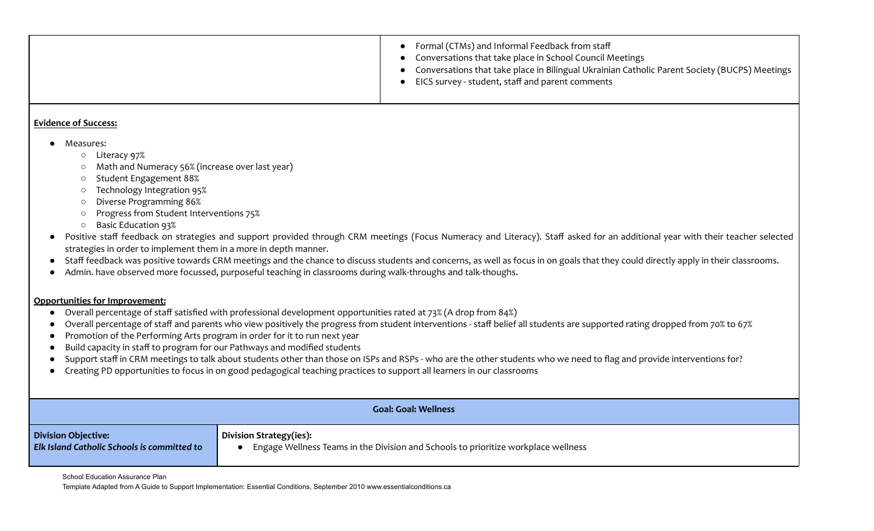|  | Formal (CTMs) and Informal Feedback from staff<br>Conversations that take place in School Council Meetings<br>Conversations that take place in Bilingual Ukrainian Catholic Parent Society (BUCPS) Meetings<br>EICS survey - student, staff and parent comments |
|--|-----------------------------------------------------------------------------------------------------------------------------------------------------------------------------------------------------------------------------------------------------------------|
|--|-----------------------------------------------------------------------------------------------------------------------------------------------------------------------------------------------------------------------------------------------------------------|

#### **Evidence of Success:**

- Measures:
	- Literacy 97%
	- Math and Numeracy 56% (increase over last year)
	- Student Engagement 88%
	- Technology Integration 95%
	- Diverse Programming 86%
	- Progress from Student Interventions 75%
	- Basic Education 93%
- Positive staff feedback on strategies and support provided through CRM meetings (Focus Numeracy and Literacy). Staff asked for an additional year with their teacher selected strategies in order to implement them in a more in depth manner.
- Staff feedback was positive towards CRM meetings and the chance to discuss students and concerns, as well as focus in on goals that they could directly apply in their classrooms.
- Admin. have observed more focussed, purposeful teaching in classrooms during walk-throughs and talk-thoughs.

#### **Opportunities for Improvement:**

- Overall percentage of staff satisfied with professional development opportunities rated at 73% (A drop from 84%)
- Overall percentage of staff and parents who view positively the progress from student interventions staff belief all students are supported rating dropped from 70% to 67%
- Promotion of the Performing Arts program in order for it to run next year
- Build capacity in staff to program for our Pathways and modified students
- Support staff in CRM meetings to talk about students other than those on ISPs and RSPs who are the other students who we need to flag and provide interventions for?
- Creating PD opportunities to focus in on good pedagogical teaching practices to support all learners in our classrooms

| <b>Goal: Goal: Wellness</b>                        |                                                                                    |  |
|----------------------------------------------------|------------------------------------------------------------------------------------|--|
| <b>Division Objective:</b>                         | Division Strategy(ies):                                                            |  |
| <b>Elk Island Catholic Schools is committed to</b> | Engage Wellness Teams in the Division and Schools to prioritize workplace wellness |  |

School Education Assurance Plan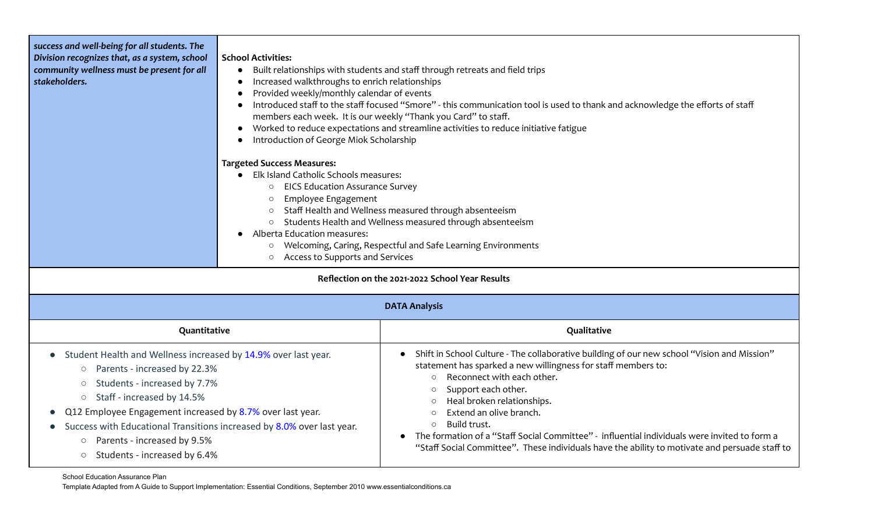| success and well-being for all students. The<br>Division recognizes that, as a system, school<br>community wellness must be present for all<br>stakeholders.                                                  | <b>School Activities:</b><br>Built relationships with students and staff through retreats and field trips<br>$\bullet$<br>Increased walkthroughs to enrich relationships<br>$\bullet$<br>Provided weekly/monthly calendar of events<br>$\bullet$<br>Introduced staff to the staff focused "Smore" - this communication tool is used to thank and acknowledge the efforts of staff<br>members each week. It is our weekly "Thank you Card" to staff.<br>Worked to reduce expectations and streamline activities to reduce initiative fatigue<br>$\bullet$<br>Introduction of George Miok Scholarship<br><b>Targeted Success Measures:</b><br>Elk Island Catholic Schools measures:<br><b>EICS Education Assurance Survey</b><br>$\circ$<br>Employee Engagement<br>$\circ$<br>Staff Health and Wellness measured through absenteeism<br>$\circ$<br>Students Health and Wellness measured through absenteeism<br>$\circ$<br>Alberta Education measures:<br>Welcoming, Caring, Respectful and Safe Learning Environments<br>$\circ$<br>Access to Supports and Services<br>$\circ$ |                                                                                                                                                                                                                                                                                                               |  |
|---------------------------------------------------------------------------------------------------------------------------------------------------------------------------------------------------------------|-------------------------------------------------------------------------------------------------------------------------------------------------------------------------------------------------------------------------------------------------------------------------------------------------------------------------------------------------------------------------------------------------------------------------------------------------------------------------------------------------------------------------------------------------------------------------------------------------------------------------------------------------------------------------------------------------------------------------------------------------------------------------------------------------------------------------------------------------------------------------------------------------------------------------------------------------------------------------------------------------------------------------------------------------------------------------------|---------------------------------------------------------------------------------------------------------------------------------------------------------------------------------------------------------------------------------------------------------------------------------------------------------------|--|
|                                                                                                                                                                                                               | Reflection on the 2021-2022 School Year Results                                                                                                                                                                                                                                                                                                                                                                                                                                                                                                                                                                                                                                                                                                                                                                                                                                                                                                                                                                                                                               |                                                                                                                                                                                                                                                                                                               |  |
|                                                                                                                                                                                                               | <b>DATA Analysis</b>                                                                                                                                                                                                                                                                                                                                                                                                                                                                                                                                                                                                                                                                                                                                                                                                                                                                                                                                                                                                                                                          |                                                                                                                                                                                                                                                                                                               |  |
| Quantitative                                                                                                                                                                                                  |                                                                                                                                                                                                                                                                                                                                                                                                                                                                                                                                                                                                                                                                                                                                                                                                                                                                                                                                                                                                                                                                               | Qualitative                                                                                                                                                                                                                                                                                                   |  |
| Student Health and Wellness increased by 14.9% over last year.<br>$\bullet$<br>Parents - increased by 22.3%<br>$\bigcirc$<br>Students - increased by 7.7%<br>$\circ$<br>Staff - increased by 14.5%<br>$\circ$ |                                                                                                                                                                                                                                                                                                                                                                                                                                                                                                                                                                                                                                                                                                                                                                                                                                                                                                                                                                                                                                                                               | Shift in School Culture - The collaborative building of our new school "Vision and Mission"<br>$\bullet$<br>statement has sparked a new willingness for staff members to:<br>Reconnect with each other.<br>$\circ$<br>Support each other.<br>$\circ$<br>Heal broken relationships.<br>Extend an olive branch. |  |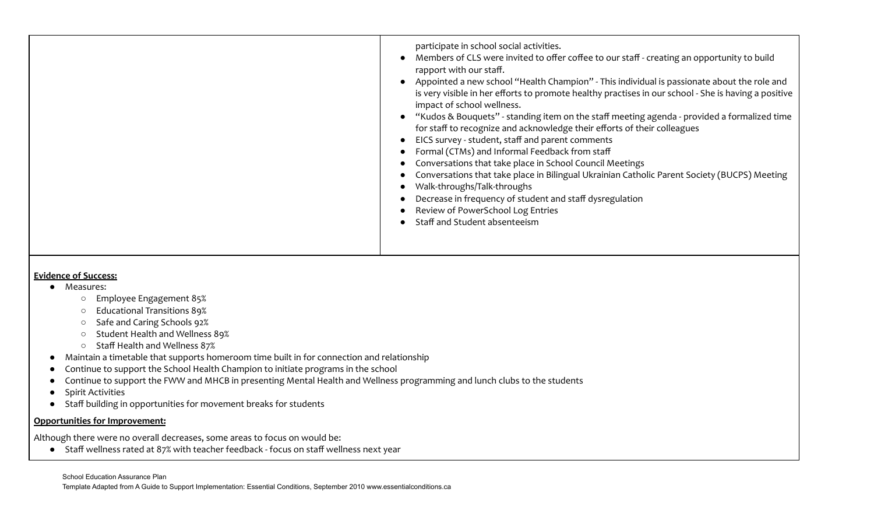|  | participate in school social activities.<br>Members of CLS were invited to offer coffee to our staff - creating an opportunity to build<br>rapport with our staff.<br>Appointed a new school "Health Champion" - This individual is passionate about the role and<br>is very visible in her efforts to promote healthy practises in our school - She is having a positive<br>impact of school wellness.<br>"Kudos & Bouquets" - standing item on the staff meeting agenda - provided a formalized time<br>for staff to recognize and acknowledge their efforts of their colleagues<br>EICS survey - student, staff and parent comments<br>Formal (CTMs) and Informal Feedback from staff<br>Conversations that take place in School Council Meetings<br>Conversations that take place in Bilingual Ukrainian Catholic Parent Society (BUCPS) Meeting<br>Walk-throughs/Talk-throughs<br>Decrease in frequency of student and staff dysregulation<br>Review of PowerSchool Log Entries<br>Staff and Student absenteeism |
|--|-----------------------------------------------------------------------------------------------------------------------------------------------------------------------------------------------------------------------------------------------------------------------------------------------------------------------------------------------------------------------------------------------------------------------------------------------------------------------------------------------------------------------------------------------------------------------------------------------------------------------------------------------------------------------------------------------------------------------------------------------------------------------------------------------------------------------------------------------------------------------------------------------------------------------------------------------------------------------------------------------------------------------|
|--|-----------------------------------------------------------------------------------------------------------------------------------------------------------------------------------------------------------------------------------------------------------------------------------------------------------------------------------------------------------------------------------------------------------------------------------------------------------------------------------------------------------------------------------------------------------------------------------------------------------------------------------------------------------------------------------------------------------------------------------------------------------------------------------------------------------------------------------------------------------------------------------------------------------------------------------------------------------------------------------------------------------------------|

#### **Evidence of Success:**

- Measures:
	- Employee Engagement 85%
	- Educational Transitions 89%
	- Safe and Caring Schools 92%
	- Student Health and Wellness 89%
	- Staff Health and Wellness 87%
- Maintain a timetable that supports homeroom time built in for connection and relationship
- Continue to support the School Health Champion to initiate programs in the school
- Continue to support the FWW and MHCB in presenting Mental Health and Wellness programming and lunch clubs to the students
- Spirit Activities
- Staff building in opportunities for movement breaks for students

#### **Opportunities for Improvement:**

Although there were no overall decreases, some areas to focus on would be:

● Staff wellness rated at 87% with teacher feedback - focus on staff wellness next year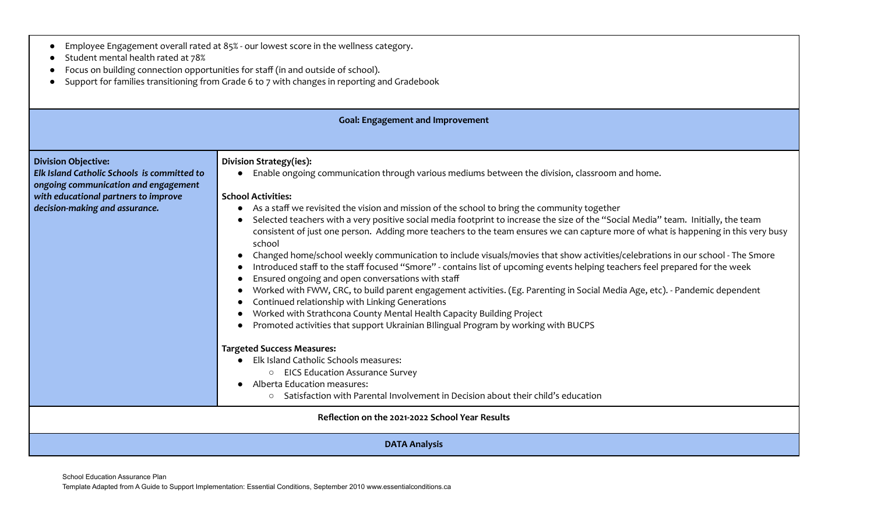| Student mental health rated at 78%<br>Focus on building connection opportunities for staff (in and outside of school). |                                                                                                                                                                                  |  |  |
|------------------------------------------------------------------------------------------------------------------------|----------------------------------------------------------------------------------------------------------------------------------------------------------------------------------|--|--|
| Support for families transitioning from Grade 6 to 7 with changes in reporting and Gradebook                           |                                                                                                                                                                                  |  |  |
|                                                                                                                        |                                                                                                                                                                                  |  |  |
|                                                                                                                        | <b>Goal: Engagement and Improvement</b>                                                                                                                                          |  |  |
|                                                                                                                        |                                                                                                                                                                                  |  |  |
| <b>Division Objective:</b>                                                                                             | Division Strategy(ies):                                                                                                                                                          |  |  |
| Elk Island Catholic Schools is committed to<br>ongoing communication and engagement                                    | Enable ongoing communication through various mediums between the division, classroom and home.                                                                                   |  |  |
| with educational partners to improve                                                                                   | <b>School Activities:</b>                                                                                                                                                        |  |  |
| decision-making and assurance.                                                                                         | As a staff we revisited the vision and mission of the school to bring the community together<br>$\bullet$                                                                        |  |  |
|                                                                                                                        | Selected teachers with a very positive social media footprint to increase the size of the "Social Media" team. Initially, the team                                               |  |  |
|                                                                                                                        | consistent of just one person. Adding more teachers to the team ensures we can capture more of what is happening in this very busy<br>school                                     |  |  |
|                                                                                                                        | Changed home/school weekly communication to include visuals/movies that show activities/celebrations in our school - The Smore<br>$\bullet$                                      |  |  |
|                                                                                                                        | Introduced staff to the staff focused "Smore" - contains list of upcoming events helping teachers feel prepared for the week                                                     |  |  |
|                                                                                                                        | Ensured ongoing and open conversations with staff<br>Worked with FWW, CRC, to build parent engagement activities. (Eg. Parenting in Social Media Age, etc). - Pandemic dependent |  |  |
| Continued relationship with Linking Generations                                                                        |                                                                                                                                                                                  |  |  |
| Worked with Strathcona County Mental Health Capacity Building Project                                                  |                                                                                                                                                                                  |  |  |
|                                                                                                                        | Promoted activities that support Ukrainian Bllingual Program by working with BUCPS                                                                                               |  |  |
|                                                                                                                        | <b>Targeted Success Measures:</b>                                                                                                                                                |  |  |
|                                                                                                                        | Elk Island Catholic Schools measures:                                                                                                                                            |  |  |
|                                                                                                                        | ○ EICS Education Assurance Survey<br>Alberta Education measures:                                                                                                                 |  |  |
|                                                                                                                        | Satisfaction with Parental Involvement in Decision about their child's education<br>$\circ$                                                                                      |  |  |
| Reflection on the 2021-2022 School Year Results                                                                        |                                                                                                                                                                                  |  |  |
| <b>DATA Analysis</b>                                                                                                   |                                                                                                                                                                                  |  |  |

● Employee Engagement overall rated at 85% - our lowest score in the wellness category.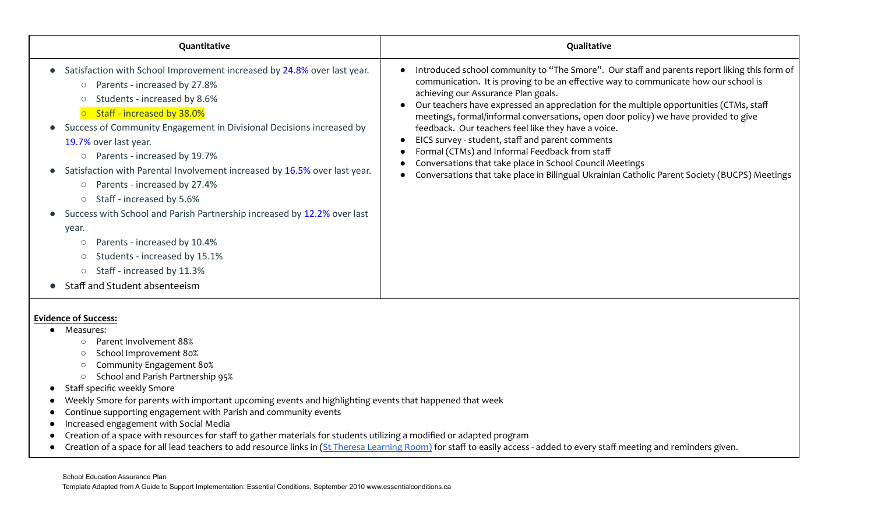| Quantitative                                                                                                                                                                                                                                                                                                                                                                                                                                                                                                                                                                                                                                                                                                                                                                         | Qualitative                                                                                                                                                                                                                                                                                                                                                                                                                                                                                                                                                                                                                                                                                                                                          |
|--------------------------------------------------------------------------------------------------------------------------------------------------------------------------------------------------------------------------------------------------------------------------------------------------------------------------------------------------------------------------------------------------------------------------------------------------------------------------------------------------------------------------------------------------------------------------------------------------------------------------------------------------------------------------------------------------------------------------------------------------------------------------------------|------------------------------------------------------------------------------------------------------------------------------------------------------------------------------------------------------------------------------------------------------------------------------------------------------------------------------------------------------------------------------------------------------------------------------------------------------------------------------------------------------------------------------------------------------------------------------------------------------------------------------------------------------------------------------------------------------------------------------------------------------|
| Satisfaction with School Improvement increased by 24.8% over last year.<br>Parents - increased by 27.8%<br>$\circ$<br>Students - increased by 8.6%<br>$\bigcirc$<br>Staff - increased by 38.0%<br>$\overline{O}$<br>Success of Community Engagement in Divisional Decisions increased by<br>19.7% over last year.<br>○ Parents - increased by 19.7%<br>Satisfaction with Parental Involvement increased by 16.5% over last year.<br>Parents - increased by 27.4%<br>$\circ$<br>Staff - increased by 5.6%<br>$\circ$<br>Success with School and Parish Partnership increased by 12.2% over last<br>year.<br>Parents - increased by 10.4%<br>$\circlearrowright$<br>Students - increased by 15.1%<br>$\circ$<br>Staff - increased by 11.3%<br>$\circ$<br>Staff and Student absenteeism | Introduced school community to "The Smore". Our staff and parents report liking this form of<br>communication. It is proving to be an effective way to communicate how our school is<br>achieving our Assurance Plan goals.<br>Our teachers have expressed an appreciation for the multiple opportunities (CTMs, staff<br>meetings, formal/informal conversations, open door policy) we have provided to give<br>feedback. Our teachers feel like they have a voice.<br>EICS survey - student, staff and parent comments<br>$\bullet$<br>Formal (CTMs) and Informal Feedback from staff<br>Conversations that take place in School Council Meetings<br>Conversations that take place in Bilingual Ukrainian Catholic Parent Society (BUCPS) Meetings |
| <b>Evidence of Success:</b><br>Measures:<br>Parent Involvement 88%<br>$\circ$<br>School Improvement 80%<br>$\circ$<br>Community Engagement 80%<br>$\circ$<br>School and Parish Partnership 95%<br>$\circ$<br>Staff specific weekly Smore<br>Weekly Smore for parents with important upcoming events and highlighting events that happened that week<br>Continue supporting engagement with Parish and community events<br>Increased engagement with Social Media<br>Creation of a space with resources for staff to gather materials for students utilizing a modified or adapted program                                                                                                                                                                                            | Creation of a space for all lead teachers to add resource links in (St Theresa Learning Room) for staff to easily access - added to every staff meeting and reminders given.                                                                                                                                                                                                                                                                                                                                                                                                                                                                                                                                                                         |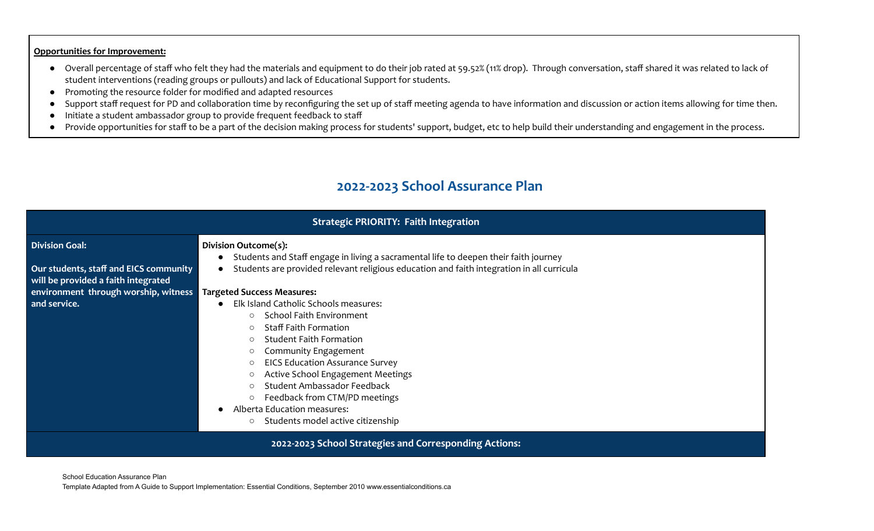#### **Opportunities for Improvement:**

- Overall percentage of staff who felt they had the materials and equipment to do their job rated at 59.52% (11% drop). Through conversation, staff shared it was related to lack of student interventions (reading groups or pullouts) and lack of Educational Support for students.
- Promoting the resource folder for modified and adapted resources
- Support staff request for PD and collaboration time by reconfiguring the set up of staff meeting agenda to have information and discussion or action items allowing for time then.
- Initiate a student ambassador group to provide frequent feedback to staff
- Provide opportunities for staff to be a part of the decision making process for students' support, budget, etc to help build their understanding and engagement in the process.

### **2022-2023 School Assurance Plan**

| <b>Strategic PRIORITY: Faith Integration</b>                                  |                                                                                                                                                                                                                                                                                                                                                                                                                                       |  |
|-------------------------------------------------------------------------------|---------------------------------------------------------------------------------------------------------------------------------------------------------------------------------------------------------------------------------------------------------------------------------------------------------------------------------------------------------------------------------------------------------------------------------------|--|
| <b>Division Goal:</b>                                                         | <b>Division Outcome(s):</b><br>• Students and Staff engage in living a sacramental life to deepen their faith journey                                                                                                                                                                                                                                                                                                                 |  |
| Our students, staff and EICS community<br>will be provided a faith integrated | Students are provided relevant religious education and faith integration in all curricula                                                                                                                                                                                                                                                                                                                                             |  |
| environment through worship, witness                                          | <b>Targeted Success Measures:</b>                                                                                                                                                                                                                                                                                                                                                                                                     |  |
| and service.                                                                  | Elk Island Catholic Schools measures:<br>School Faith Environment<br><b>Staff Faith Formation</b><br>$\circ$<br><b>Student Faith Formation</b><br>$\circ$<br>Community Engagement<br>$\circ$<br><b>EICS Education Assurance Survey</b><br>Active School Engagement Meetings<br>Student Ambassador Feedback<br>$\circ$<br>Feedback from CTM/PD meetings<br>Alberta Education measures:<br>Students model active citizenship<br>$\circ$ |  |
| 2022-2023 School Strategies and Corresponding Actions:                        |                                                                                                                                                                                                                                                                                                                                                                                                                                       |  |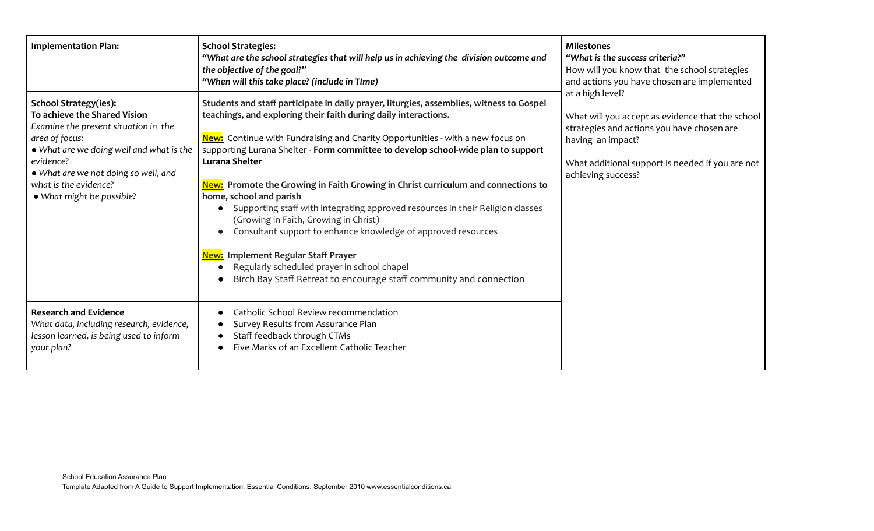| <b>Implementation Plan:</b>                                                                                                                                                                                                                                                   | <b>School Strategies:</b><br>"What are the school strategies that will help us in achieving the division outcome and<br>the objective of the goal?"<br>"When will this take place? (include in TIme)                                                                                                                                                                                                                                                                                                                                                                                                                                                                                                                                                                                                                                                                  | <b>Milestones</b><br>"What is the success criteria?"<br>How will you know that the school strategies<br>and actions you have chosen are implemented<br>at a high level?<br>What will you accept as evidence that the school<br>strategies and actions you have chosen are<br>having an impact?<br>What additional support is needed if you are not<br>achieving success? |
|-------------------------------------------------------------------------------------------------------------------------------------------------------------------------------------------------------------------------------------------------------------------------------|-----------------------------------------------------------------------------------------------------------------------------------------------------------------------------------------------------------------------------------------------------------------------------------------------------------------------------------------------------------------------------------------------------------------------------------------------------------------------------------------------------------------------------------------------------------------------------------------------------------------------------------------------------------------------------------------------------------------------------------------------------------------------------------------------------------------------------------------------------------------------|--------------------------------------------------------------------------------------------------------------------------------------------------------------------------------------------------------------------------------------------------------------------------------------------------------------------------------------------------------------------------|
| <b>School Strategy(ies):</b><br>To achieve the Shared Vision<br>Examine the present situation in the<br>area of focus:<br>• What are we doing well and what is the<br>evidence?<br>• What are we not doing so well, and<br>what is the evidence?<br>• What might be possible? | Students and staff participate in daily prayer, liturgies, assemblies, witness to Gospel<br>teachings, and exploring their faith during daily interactions.<br><b>New:</b> Continue with Fundraising and Charity Opportunities - with a new focus on<br>supporting Lurana Shelter - Form committee to develop school-wide plan to support<br><b>Lurana Shelter</b><br>New: Promote the Growing in Faith Growing in Christ curriculum and connections to<br>home, school and parish<br>Supporting staff with integrating approved resources in their Religion classes<br>(Growing in Faith, Growing in Christ)<br>Consultant support to enhance knowledge of approved resources<br>$\bullet$<br>New: Implement Regular Staff Prayer<br>Regularly scheduled prayer in school chapel<br>Birch Bay Staff Retreat to encourage staff community and connection<br>$\bullet$ |                                                                                                                                                                                                                                                                                                                                                                          |
| <b>Research and Evidence</b><br>What data, including research, evidence,<br>lesson learned, is being used to inform<br>your plan?                                                                                                                                             | Catholic School Review recommendation<br>$\bullet$<br>Survey Results from Assurance Plan<br>Staff feedback through CTMs<br>Five Marks of an Excellent Catholic Teacher                                                                                                                                                                                                                                                                                                                                                                                                                                                                                                                                                                                                                                                                                                |                                                                                                                                                                                                                                                                                                                                                                          |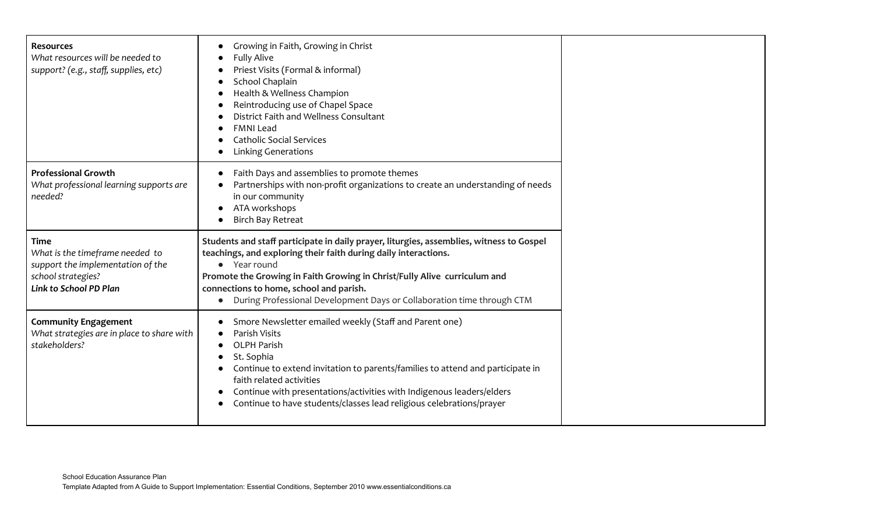| <b>Resources</b><br>What resources will be needed to<br>support? (e.g., staff, supplies, etc)                                       | Growing in Faith, Growing in Christ<br><b>Fully Alive</b><br>Priest Visits (Formal & informal)<br>School Chaplain<br>Health & Wellness Champion<br>Reintroducing use of Chapel Space<br>District Faith and Wellness Consultant<br><b>FMNI Lead</b><br><b>Catholic Social Services</b><br><b>Linking Generations</b>                                                           |
|-------------------------------------------------------------------------------------------------------------------------------------|-------------------------------------------------------------------------------------------------------------------------------------------------------------------------------------------------------------------------------------------------------------------------------------------------------------------------------------------------------------------------------|
| <b>Professional Growth</b><br>What professional learning supports are<br>needed?                                                    | Faith Days and assemblies to promote themes<br>Partnerships with non-profit organizations to create an understanding of needs<br>in our community<br>ATA workshops<br><b>Birch Bay Retreat</b>                                                                                                                                                                                |
| <b>Time</b><br>What is the timeframe needed to<br>support the implementation of the<br>school strategies?<br>Link to School PD Plan | Students and staff participate in daily prayer, liturgies, assemblies, witness to Gospel<br>teachings, and exploring their faith during daily interactions.<br>• Year round<br>Promote the Growing in Faith Growing in Christ/Fully Alive curriculum and<br>connections to home, school and parish.<br>During Professional Development Days or Collaboration time through CTM |
| <b>Community Engagement</b><br>What strategies are in place to share with<br>stakeholders?                                          | Smore Newsletter emailed weekly (Staff and Parent one)<br>Parish Visits<br><b>OLPH Parish</b><br>St. Sophia<br>Continue to extend invitation to parents/families to attend and participate in<br>faith related activities<br>Continue with presentations/activities with Indigenous leaders/elders<br>Continue to have students/classes lead religious celebrations/prayer    |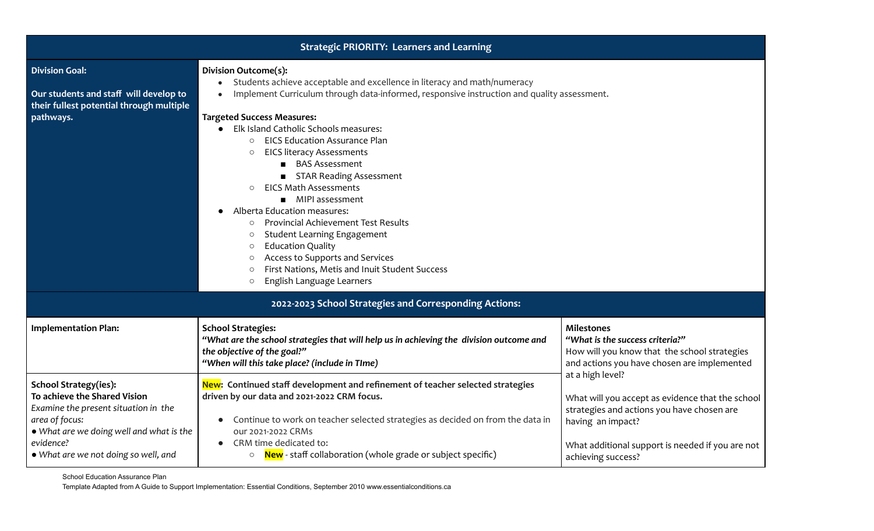| <b>Strategic PRIORITY: Learners and Learning</b>                                                                                                                                                                        |                                                                                                                                                                                                                                                                                                                                                                                                                                                                                                                                                                                                                                                                                                                                                                                                                                       |                                                                                                                                                                                                                   |  |
|-------------------------------------------------------------------------------------------------------------------------------------------------------------------------------------------------------------------------|---------------------------------------------------------------------------------------------------------------------------------------------------------------------------------------------------------------------------------------------------------------------------------------------------------------------------------------------------------------------------------------------------------------------------------------------------------------------------------------------------------------------------------------------------------------------------------------------------------------------------------------------------------------------------------------------------------------------------------------------------------------------------------------------------------------------------------------|-------------------------------------------------------------------------------------------------------------------------------------------------------------------------------------------------------------------|--|
| <b>Division Goal:</b><br>Our students and staff will develop to<br>their fullest potential through multiple<br>pathways.                                                                                                | Division Outcome(s):<br>Students achieve acceptable and excellence in literacy and math/numeracy<br>Implement Curriculum through data-informed, responsive instruction and quality assessment.<br><b>Targeted Success Measures:</b><br>Elk Island Catholic Schools measures:<br><b>EICS Education Assurance Plan</b><br>$\circ$<br><b>EICS literacy Assessments</b><br>$\circ$<br><b>BAS Assessment</b><br>STAR Reading Assessment<br><b>EICS Math Assessments</b><br>$\circ$<br>■ MIPI assessment<br>Alberta Education measures:<br><b>Provincial Achievement Test Results</b><br>$\circ$<br><b>Student Learning Engagement</b><br>$\circ$<br><b>Education Quality</b><br>$\circ$<br>Access to Supports and Services<br>$\circ$<br>First Nations, Metis and Inuit Student Success<br>$\circ$<br>English Language Learners<br>$\circ$ |                                                                                                                                                                                                                   |  |
|                                                                                                                                                                                                                         | 2022-2023 School Strategies and Corresponding Actions:                                                                                                                                                                                                                                                                                                                                                                                                                                                                                                                                                                                                                                                                                                                                                                                |                                                                                                                                                                                                                   |  |
| <b>Implementation Plan:</b>                                                                                                                                                                                             | <b>School Strategies:</b><br>"What are the school strategies that will help us in achieving the division outcome and<br>the objective of the goal?"<br>"When will this take place? (include in TIme)                                                                                                                                                                                                                                                                                                                                                                                                                                                                                                                                                                                                                                  | <b>Milestones</b><br>"What is the success criteria?"<br>How will you know that the school strategies<br>and actions you have chosen are implemented                                                               |  |
| <b>School Strategy(ies):</b><br>To achieve the Shared Vision<br>Examine the present situation in the<br>area of focus:<br>• What are we doing well and what is the<br>evidence?<br>• What are we not doing so well, and | New: Continued staff development and refinement of teacher selected strategies<br>driven by our data and 2021-2022 CRM focus.<br>Continue to work on teacher selected strategies as decided on from the data in<br>our 2021-2022 CRMs<br>CRM time dedicated to:<br>○ <b>New</b> - staff collaboration (whole grade or subject specific)                                                                                                                                                                                                                                                                                                                                                                                                                                                                                               | at a high level?<br>What will you accept as evidence that the school<br>strategies and actions you have chosen are<br>having an impact?<br>What additional support is needed if you are not<br>achieving success? |  |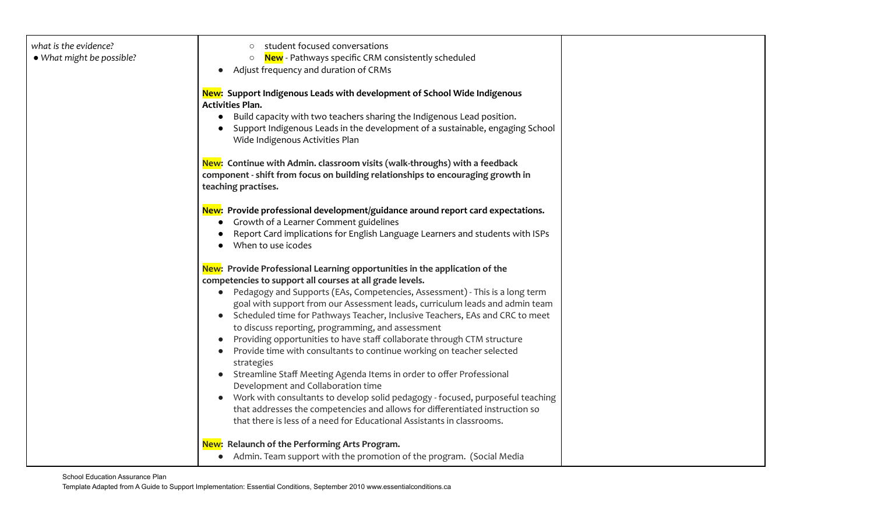| what is the evidence?     | student focused conversations                                                                       |  |
|---------------------------|-----------------------------------------------------------------------------------------------------|--|
| • What might be possible? | <b>New</b> - Pathways specific CRM consistently scheduled<br>$\circ$                                |  |
|                           | Adjust frequency and duration of CRMs                                                               |  |
|                           | New: Support Indigenous Leads with development of School Wide Indigenous<br><b>Activities Plan.</b> |  |
|                           | Build capacity with two teachers sharing the Indigenous Lead position.                              |  |
|                           | Support Indigenous Leads in the development of a sustainable, engaging School                       |  |
|                           | Wide Indigenous Activities Plan                                                                     |  |
|                           | New: Continue with Admin. classroom visits (walk-throughs) with a feedback                          |  |
|                           | component - shift from focus on building relationships to encouraging growth in                     |  |
|                           | teaching practises.                                                                                 |  |
|                           | New: Provide professional development/guidance around report card expectations.                     |  |
|                           | Growth of a Learner Comment guidelines                                                              |  |
|                           | Report Card implications for English Language Learners and students with ISPs                       |  |
|                           | When to use icodes                                                                                  |  |
|                           | New: Provide Professional Learning opportunities in the application of the                          |  |
|                           | competencies to support all courses at all grade levels.                                            |  |
|                           | • Pedagogy and Supports (EAs, Competencies, Assessment) - This is a long term                       |  |
|                           | goal with support from our Assessment leads, curriculum leads and admin team                        |  |
|                           | • Scheduled time for Pathways Teacher, Inclusive Teachers, EAs and CRC to meet                      |  |
|                           | to discuss reporting, programming, and assessment                                                   |  |
|                           | Providing opportunities to have staff collaborate through CTM structure                             |  |
|                           | Provide time with consultants to continue working on teacher selected                               |  |
|                           | strategies                                                                                          |  |
|                           | • Streamline Staff Meeting Agenda Items in order to offer Professional                              |  |
|                           | Development and Collaboration time                                                                  |  |
|                           | Work with consultants to develop solid pedagogy - focused, purposeful teaching                      |  |
|                           | that addresses the competencies and allows for differentiated instruction so                        |  |
|                           | that there is less of a need for Educational Assistants in classrooms.                              |  |
|                           | New: Relaunch of the Performing Arts Program.                                                       |  |
|                           | • Admin. Team support with the promotion of the program. (Social Media                              |  |
|                           |                                                                                                     |  |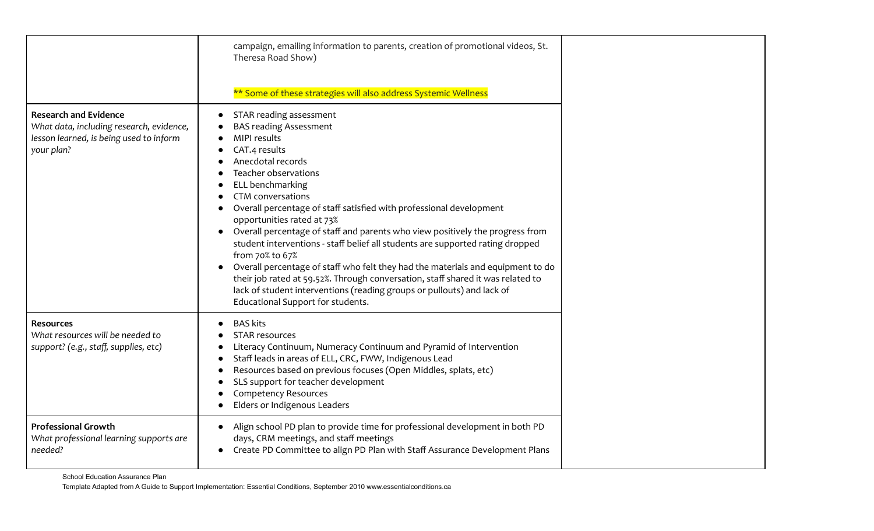|                                                                                                                                   | campaign, emailing information to parents, creation of promotional videos, St.<br>Theresa Road Show)<br>** Some of these strategies will also address Systemic Wellness                                                                                                                                                                                                                                                                                                                                                                                                                                                                                                                                                                                                |  |
|-----------------------------------------------------------------------------------------------------------------------------------|------------------------------------------------------------------------------------------------------------------------------------------------------------------------------------------------------------------------------------------------------------------------------------------------------------------------------------------------------------------------------------------------------------------------------------------------------------------------------------------------------------------------------------------------------------------------------------------------------------------------------------------------------------------------------------------------------------------------------------------------------------------------|--|
| <b>Research and Evidence</b><br>What data, including research, evidence,<br>lesson learned, is being used to inform<br>your plan? | STAR reading assessment<br><b>BAS reading Assessment</b><br>MIPI results<br>CAT.4 results<br>Anecdotal records<br>Teacher observations<br>ELL benchmarking<br><b>CTM</b> conversations<br>Overall percentage of staff satisfied with professional development<br>opportunities rated at 73%<br>Overall percentage of staff and parents who view positively the progress from<br>student interventions - staff belief all students are supported rating dropped<br>from 70% to 67%<br>Overall percentage of staff who felt they had the materials and equipment to do<br>their job rated at 59.52%. Through conversation, staff shared it was related to<br>lack of student interventions (reading groups or pullouts) and lack of<br>Educational Support for students. |  |
| <b>Resources</b><br>What resources will be needed to<br>support? (e.g., staff, supplies, etc)                                     | <b>BAS kits</b><br><b>STAR resources</b><br>Literacy Continuum, Numeracy Continuum and Pyramid of Intervention<br>Staff leads in areas of ELL, CRC, FWW, Indigenous Lead<br>$\bullet$<br>Resources based on previous focuses (Open Middles, splats, etc)<br>$\bullet$<br>SLS support for teacher development<br>$\bullet$<br><b>Competency Resources</b><br>Elders or Indigenous Leaders                                                                                                                                                                                                                                                                                                                                                                               |  |
| <b>Professional Growth</b><br>What professional learning supports are<br>needed?                                                  | Align school PD plan to provide time for professional development in both PD<br>$\bullet$<br>days, CRM meetings, and staff meetings<br>Create PD Committee to align PD Plan with Staff Assurance Development Plans                                                                                                                                                                                                                                                                                                                                                                                                                                                                                                                                                     |  |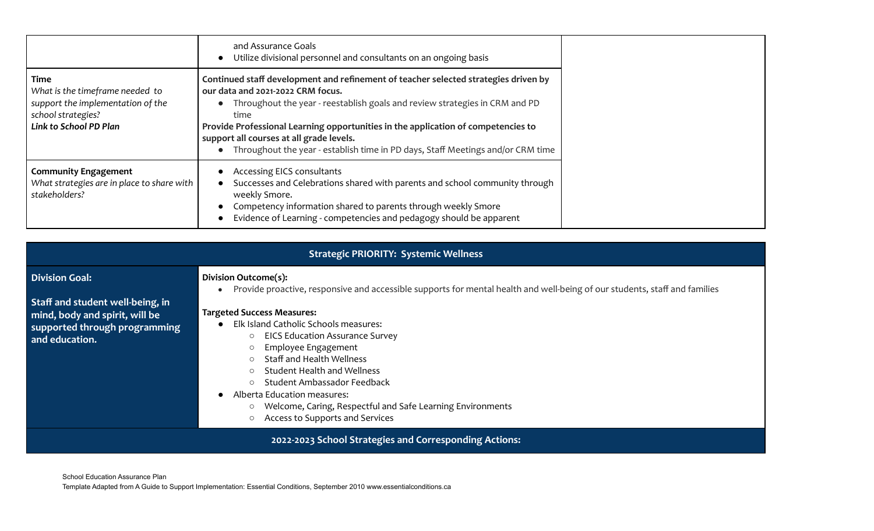|                                                                                                                              | and Assurance Goals<br>Utilize divisional personnel and consultants on an ongoing basis                                                                                                                                                                                                                                                                                                                                             |
|------------------------------------------------------------------------------------------------------------------------------|-------------------------------------------------------------------------------------------------------------------------------------------------------------------------------------------------------------------------------------------------------------------------------------------------------------------------------------------------------------------------------------------------------------------------------------|
| Time<br>What is the timeframe needed to<br>support the implementation of the<br>school strategies?<br>Link to School PD Plan | Continued staff development and refinement of teacher selected strategies driven by<br>our data and 2021-2022 CRM focus.<br>Throughout the year - reestablish goals and review strategies in CRM and PD<br>time<br>Provide Professional Learning opportunities in the application of competencies to<br>support all courses at all grade levels.<br>Throughout the year - establish time in PD days, Staff Meetings and/or CRM time |
| <b>Community Engagement</b><br>What strategies are in place to share with<br>stakeholders?                                   | Accessing EICS consultants<br>Successes and Celebrations shared with parents and school community through<br>weekly Smore.<br>Competency information shared to parents through weekly Smore<br>Evidence of Learning - competencies and pedagogy should be apparent                                                                                                                                                                  |

| <b>Strategic PRIORITY: Systemic Wellness</b>                                                                                                   |                                                                                                                                                                                                                                                                                                                                                                                                                                                                                                                                                                                              |  |  |
|------------------------------------------------------------------------------------------------------------------------------------------------|----------------------------------------------------------------------------------------------------------------------------------------------------------------------------------------------------------------------------------------------------------------------------------------------------------------------------------------------------------------------------------------------------------------------------------------------------------------------------------------------------------------------------------------------------------------------------------------------|--|--|
| <b>Division Goal:</b><br>Staff and student well-being, in<br>mind, body and spirit, will be<br>supported through programming<br>and education. | Division Outcome(s):<br>Provide proactive, responsive and accessible supports for mental health and well-being of our students, staff and families<br><b>Targeted Success Measures:</b><br>Elk Island Catholic Schools measures:<br><b>EICS Education Assurance Survey</b><br>$\circ$<br>Employee Engagement<br>○ Staff and Health Wellness<br><b>Student Health and Wellness</b><br>$\circ$<br>Student Ambassador Feedback<br>$\circ$<br>Alberta Education measures:<br>Welcome, Caring, Respectful and Safe Learning Environments<br>$\circ$<br>Access to Supports and Services<br>$\circ$ |  |  |
| 2022-2023 School Strategies and Corresponding Actions:                                                                                         |                                                                                                                                                                                                                                                                                                                                                                                                                                                                                                                                                                                              |  |  |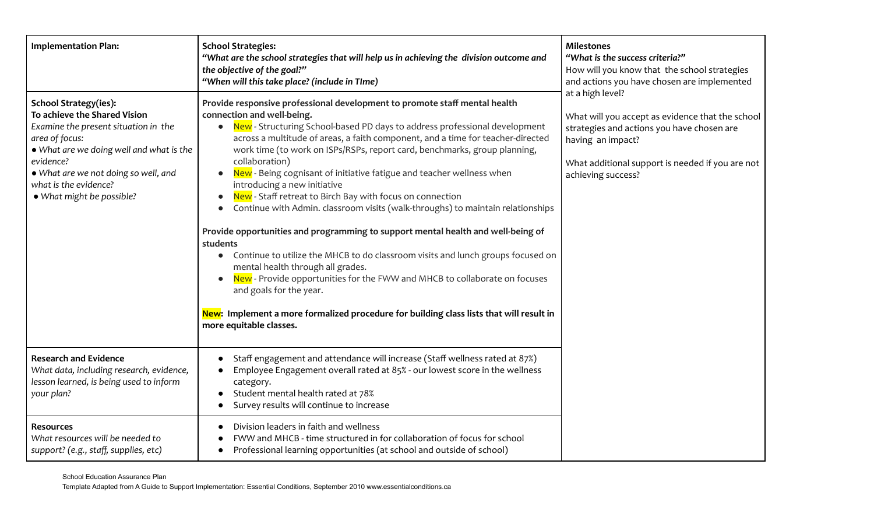| <b>Implementation Plan:</b>                                                                                                                                                                                                                                                   | <b>School Strategies:</b><br>"What are the school strategies that will help us in achieving the division outcome and<br>the objective of the goal?"<br>"When will this take place? (include in TIme)                                                                                                                                                                                                                                                                                                                                                                                                                                                                                                                                                                                                                                                                                                                                                                                                                                                                                                  | <b>Milestones</b><br>"What is the success criteria?"<br>How will you know that the school strategies<br>and actions you have chosen are implemented                                                               |
|-------------------------------------------------------------------------------------------------------------------------------------------------------------------------------------------------------------------------------------------------------------------------------|-------------------------------------------------------------------------------------------------------------------------------------------------------------------------------------------------------------------------------------------------------------------------------------------------------------------------------------------------------------------------------------------------------------------------------------------------------------------------------------------------------------------------------------------------------------------------------------------------------------------------------------------------------------------------------------------------------------------------------------------------------------------------------------------------------------------------------------------------------------------------------------------------------------------------------------------------------------------------------------------------------------------------------------------------------------------------------------------------------|-------------------------------------------------------------------------------------------------------------------------------------------------------------------------------------------------------------------|
| <b>School Strategy(ies):</b><br>To achieve the Shared Vision<br>Examine the present situation in the<br>area of focus:<br>. What are we doing well and what is the<br>evidence?<br>. What are we not doing so well, and<br>what is the evidence?<br>• What might be possible? | Provide responsive professional development to promote staff mental health<br>connection and well-being.<br>New - Structuring School-based PD days to address professional development<br>across a multitude of areas, a faith component, and a time for teacher-directed<br>work time (to work on ISPs/RSPs, report card, benchmarks, group planning,<br>collaboration)<br>New - Being cognisant of initiative fatigue and teacher wellness when<br>introducing a new initiative<br>New - Staff retreat to Birch Bay with focus on connection<br>Continue with Admin. classroom visits (walk-throughs) to maintain relationships<br>$\bullet$<br>Provide opportunities and programming to support mental health and well-being of<br>students<br>Continue to utilize the MHCB to do classroom visits and lunch groups focused on<br>mental health through all grades.<br>New - Provide opportunities for the FWW and MHCB to collaborate on focuses<br>and goals for the year.<br>New: Implement a more formalized procedure for building class lists that will result in<br>more equitable classes. | at a high level?<br>What will you accept as evidence that the school<br>strategies and actions you have chosen are<br>having an impact?<br>What additional support is needed if you are not<br>achieving success? |
| <b>Research and Evidence</b><br>What data, including research, evidence,<br>lesson learned, is being used to inform<br>your plan?                                                                                                                                             | Staff engagement and attendance will increase (Staff wellness rated at 87%)<br>$\bullet$<br>Employee Engagement overall rated at 85% - our lowest score in the wellness<br>category.<br>Student mental health rated at 78%<br>Survey results will continue to increase<br>$\bullet$                                                                                                                                                                                                                                                                                                                                                                                                                                                                                                                                                                                                                                                                                                                                                                                                                   |                                                                                                                                                                                                                   |
| <b>Resources</b><br>What resources will be needed to<br>support? (e.g., staff, supplies, etc)                                                                                                                                                                                 | Division leaders in faith and wellness<br>$\bullet$<br>FWW and MHCB - time structured in for collaboration of focus for school<br>Professional learning opportunities (at school and outside of school)<br>$\bullet$                                                                                                                                                                                                                                                                                                                                                                                                                                                                                                                                                                                                                                                                                                                                                                                                                                                                                  |                                                                                                                                                                                                                   |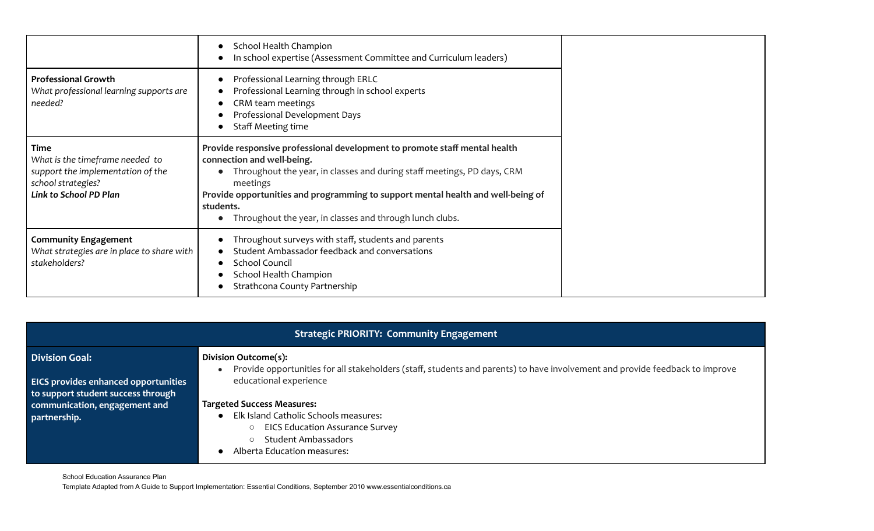|                                                                                                                                     | School Health Champion<br>In school expertise (Assessment Committee and Curriculum leaders)                                                                                                                                                                                                                                                                  |
|-------------------------------------------------------------------------------------------------------------------------------------|--------------------------------------------------------------------------------------------------------------------------------------------------------------------------------------------------------------------------------------------------------------------------------------------------------------------------------------------------------------|
| <b>Professional Growth</b><br>What professional learning supports are<br>needed?                                                    | Professional Learning through ERLC<br>Professional Learning through in school experts<br>CRM team meetings<br>Professional Development Days<br>Staff Meeting time                                                                                                                                                                                            |
| <b>Time</b><br>What is the timeframe needed to<br>support the implementation of the<br>school strategies?<br>Link to School PD Plan | Provide responsive professional development to promote staff mental health<br>connection and well-being.<br>Throughout the year, in classes and during staff meetings, PD days, CRM<br>meetings<br>Provide opportunities and programming to support mental health and well-being of<br>students.<br>Throughout the year, in classes and through lunch clubs. |
| <b>Community Engagement</b><br>What strategies are in place to share with<br>stakeholders?                                          | Throughout surveys with staff, students and parents<br>Student Ambassador feedback and conversations<br><b>School Council</b><br>School Health Champion<br>Strathcona County Partnership                                                                                                                                                                     |

| <b>Strategic PRIORITY: Community Engagement</b>                                                             |                                                                                                                                                      |  |
|-------------------------------------------------------------------------------------------------------------|------------------------------------------------------------------------------------------------------------------------------------------------------|--|
| <b>Division Goal:</b>                                                                                       | Division Outcome(s):<br>Provide opportunities for all stakeholders (staff, students and parents) to have involvement and provide feedback to improve |  |
| EICS provides enhanced opportunities<br>to support student success through<br>communication, engagement and | educational experience<br><b>Targeted Success Measures:</b>                                                                                          |  |
| partnership.                                                                                                | Elk Island Catholic Schools measures:<br><b>EICS Education Assurance Survey</b><br>$\circ$<br><b>Student Ambassadors</b>                             |  |
| School Education Assurance Plan                                                                             | Alberta Education measures:                                                                                                                          |  |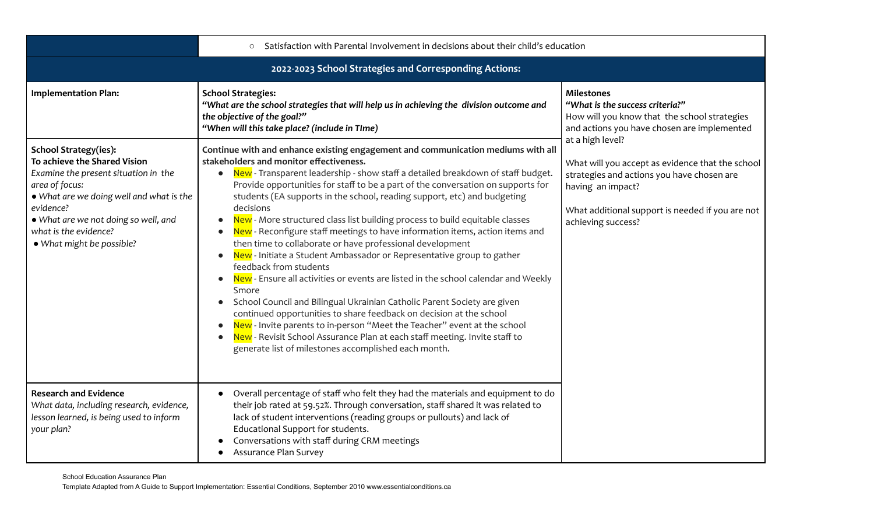|                                                                                                                                                                                                                                                                               | Satisfaction with Parental Involvement in decisions about their child's education<br>$\circ$                                                                                                                                                                                                                                                                                                                                                                                                                                                                                                                                                                                                                                                                                                                                                                                                                                                                                                                                                                                                                                                                                                    |                                                                                                                                                                                                                   |  |
|-------------------------------------------------------------------------------------------------------------------------------------------------------------------------------------------------------------------------------------------------------------------------------|-------------------------------------------------------------------------------------------------------------------------------------------------------------------------------------------------------------------------------------------------------------------------------------------------------------------------------------------------------------------------------------------------------------------------------------------------------------------------------------------------------------------------------------------------------------------------------------------------------------------------------------------------------------------------------------------------------------------------------------------------------------------------------------------------------------------------------------------------------------------------------------------------------------------------------------------------------------------------------------------------------------------------------------------------------------------------------------------------------------------------------------------------------------------------------------------------|-------------------------------------------------------------------------------------------------------------------------------------------------------------------------------------------------------------------|--|
| 2022-2023 School Strategies and Corresponding Actions:                                                                                                                                                                                                                        |                                                                                                                                                                                                                                                                                                                                                                                                                                                                                                                                                                                                                                                                                                                                                                                                                                                                                                                                                                                                                                                                                                                                                                                                 |                                                                                                                                                                                                                   |  |
| <b>Implementation Plan:</b>                                                                                                                                                                                                                                                   | <b>School Strategies:</b><br>"What are the school strategies that will help us in achieving the division outcome and<br>the objective of the goal?"<br>"When will this take place? (include in TIme)                                                                                                                                                                                                                                                                                                                                                                                                                                                                                                                                                                                                                                                                                                                                                                                                                                                                                                                                                                                            | <b>Milestones</b><br>"What is the success criteria?"<br>How will you know that the school strategies<br>and actions you have chosen are implemented                                                               |  |
| <b>School Strategy(ies):</b><br>To achieve the Shared Vision<br>Examine the present situation in the<br>area of focus:<br>. What are we doing well and what is the<br>evidence?<br>. What are we not doing so well, and<br>what is the evidence?<br>· What might be possible? | Continue with and enhance existing engagement and communication mediums with all<br>stakeholders and monitor effectiveness.<br>New - Transparent leadership - show staff a detailed breakdown of staff budget.<br>Provide opportunities for staff to be a part of the conversation on supports for<br>students (EA supports in the school, reading support, etc) and budgeting<br>decisions<br>New - More structured class list building process to build equitable classes<br>New - Reconfigure staff meetings to have information items, action items and<br>then time to collaborate or have professional development<br>New - Initiate a Student Ambassador or Representative group to gather<br>feedback from students<br>New - Ensure all activities or events are listed in the school calendar and Weekly<br>Smore<br>School Council and Bilingual Ukrainian Catholic Parent Society are given<br>continued opportunities to share feedback on decision at the school<br>New - Invite parents to in-person "Meet the Teacher" event at the school<br>New - Revisit School Assurance Plan at each staff meeting. Invite staff to<br>generate list of milestones accomplished each month. | at a high level?<br>What will you accept as evidence that the school<br>strategies and actions you have chosen are<br>having an impact?<br>What additional support is needed if you are not<br>achieving success? |  |
| <b>Research and Evidence</b><br>What data, including research, evidence,<br>lesson learned, is being used to inform<br>your plan?                                                                                                                                             | Overall percentage of staff who felt they had the materials and equipment to do<br>their job rated at 59.52%. Through conversation, staff shared it was related to<br>lack of student interventions (reading groups or pullouts) and lack of<br>Educational Support for students.<br>Conversations with staff during CRM meetings<br><b>Assurance Plan Survey</b>                                                                                                                                                                                                                                                                                                                                                                                                                                                                                                                                                                                                                                                                                                                                                                                                                               |                                                                                                                                                                                                                   |  |